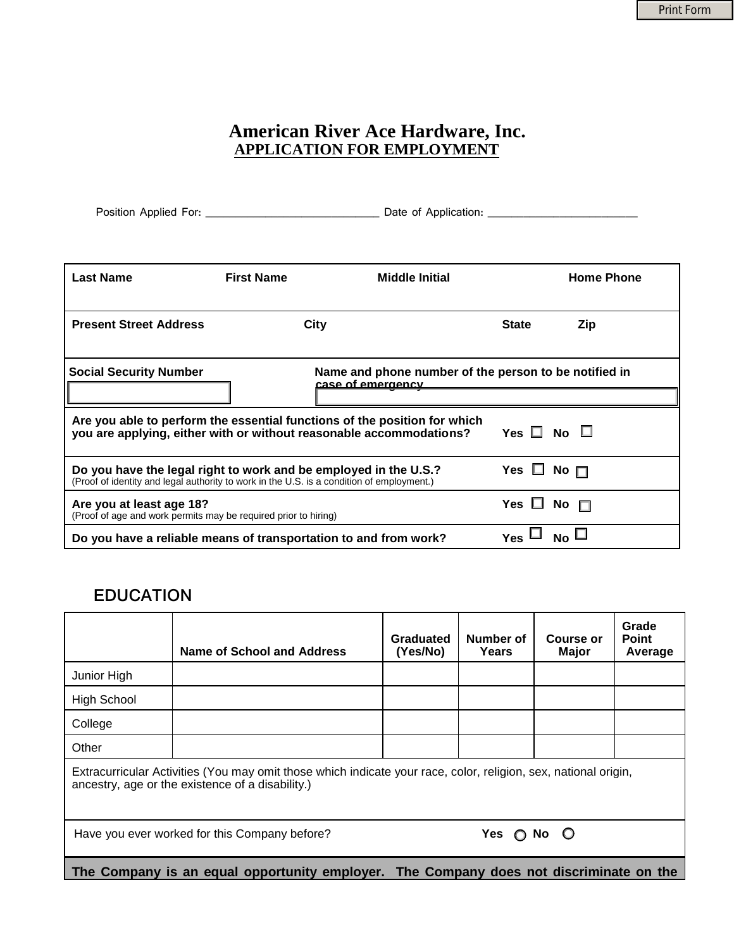٦

#### **American River Ace Hardware, Inc. APPLICATION FOR EMPLOYMENT**

| Position Applied For: | Date of Application: |  |
|-----------------------|----------------------|--|
|                       |                      |  |

| <b>Last Name</b>                                                                                                                                              | <b>First Name</b> | <b>Middle Initial</b>                                                                                                                            |                      | <b>Home Phone</b> |
|---------------------------------------------------------------------------------------------------------------------------------------------------------------|-------------------|--------------------------------------------------------------------------------------------------------------------------------------------------|----------------------|-------------------|
| <b>Present Street Address</b>                                                                                                                                 |                   | <b>City</b>                                                                                                                                      | <b>State</b>         | Zip               |
| <b>Social Security Number</b>                                                                                                                                 |                   | Name and phone number of the person to be notified in<br>case of emergency                                                                       |                      |                   |
|                                                                                                                                                               |                   | Are you able to perform the essential functions of the position for which<br>you are applying, either with or without reasonable accommodations? | Yes $\Box$ No $\Box$ |                   |
| Do you have the legal right to work and be employed in the U.S.?<br>(Proof of identity and legal authority to work in the U.S. is a condition of employment.) |                   |                                                                                                                                                  | Yes $\Box$ No $\Box$ |                   |
| Are you at least age 18?<br>(Proof of age and work permits may be required prior to hiring)                                                                   |                   |                                                                                                                                                  | Yes □                | No $\Box$         |
| Do you have a reliable means of transportation to and from work?                                                                                              |                   |                                                                                                                                                  | <b>Yes</b>           | $No \Box$         |

### **EDUCATION**

Г

|                                                                                                                                                                     | Name of School and Address | Graduated<br>(Yes/No) | Number of<br>Years | Course or<br><b>Major</b> | Grade<br><b>Point</b><br>Average |  |
|---------------------------------------------------------------------------------------------------------------------------------------------------------------------|----------------------------|-----------------------|--------------------|---------------------------|----------------------------------|--|
| Junior High                                                                                                                                                         |                            |                       |                    |                           |                                  |  |
| <b>High School</b>                                                                                                                                                  |                            |                       |                    |                           |                                  |  |
| College                                                                                                                                                             |                            |                       |                    |                           |                                  |  |
| Other                                                                                                                                                               |                            |                       |                    |                           |                                  |  |
| Extracurricular Activities (You may omit those which indicate your race, color, religion, sex, national origin,<br>ancestry, age or the existence of a disability.) |                            |                       |                    |                           |                                  |  |
| Have you ever worked for this Company before?<br>Yes $\bigcirc$ No $\bigcirc$                                                                                       |                            |                       |                    |                           |                                  |  |
| The Company is an equal opportunity employer. The Company does not discriminate on the                                                                              |                            |                       |                    |                           |                                  |  |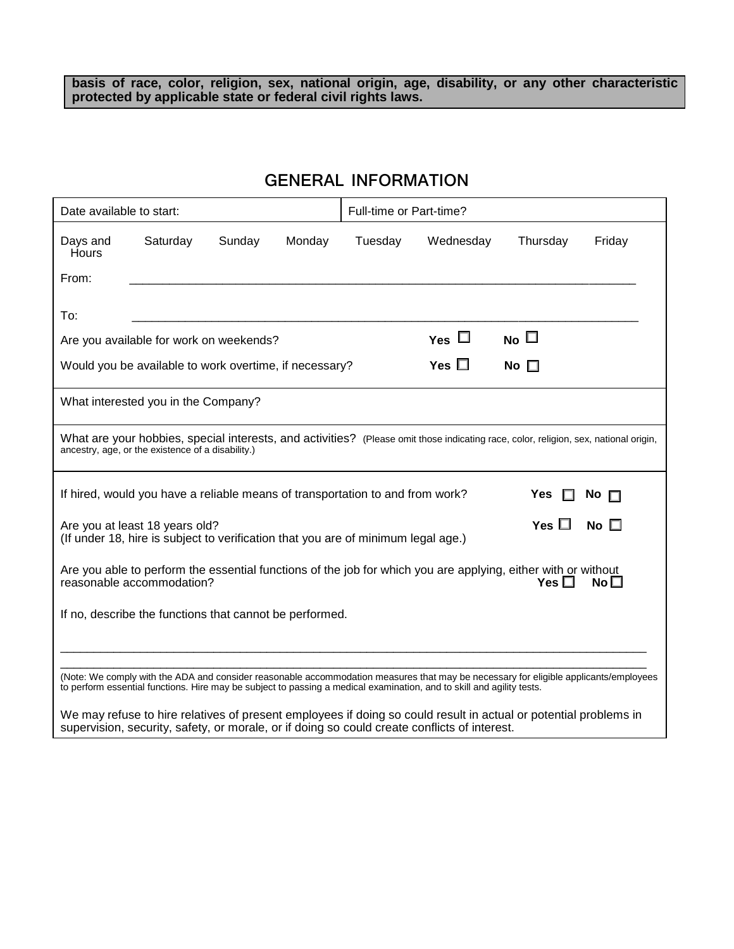**basis of race, color, religion, sex, national origin, age, disability, or any other characteristic protected by applicable state or federal civil rights laws.**

## **GENERAL INFORMATION**

|                          | Date available to start:                                                                                            |        | Full-time or Part-time? |         |                                                                                                                                      |               |                 |
|--------------------------|---------------------------------------------------------------------------------------------------------------------|--------|-------------------------|---------|--------------------------------------------------------------------------------------------------------------------------------------|---------------|-----------------|
| Days and<br><b>Hours</b> | Saturday                                                                                                            | Sunday | Monday                  | Tuesday | Wednesday                                                                                                                            | Thursday      | Friday          |
| From:                    |                                                                                                                     |        |                         |         |                                                                                                                                      |               |                 |
| To:                      |                                                                                                                     |        |                         |         |                                                                                                                                      |               |                 |
|                          | Are you available for work on weekends?                                                                             |        |                         |         | Yes $\Box$                                                                                                                           | No $\square$  |                 |
|                          | Would you be available to work overtime, if necessary?                                                              |        |                         |         | Yes $\square$                                                                                                                        | No $\square$  |                 |
|                          | What interested you in the Company?                                                                                 |        |                         |         |                                                                                                                                      |               |                 |
|                          | ancestry, age, or the existence of a disability.)                                                                   |        |                         |         | What are your hobbies, special interests, and activities? (Please omit those indicating race, color, religion, sex, national origin, |               |                 |
|                          | If hired, would you have a reliable means of transportation to and from work?                                       |        |                         |         |                                                                                                                                      | Yes           | No $\square$    |
|                          | Are you at least 18 years old?<br>(If under 18, hire is subject to verification that you are of minimum legal age.) |        |                         |         |                                                                                                                                      | Yes $\square$ | No $\square$    |
|                          | reasonable accommodation?                                                                                           |        |                         |         | Are you able to perform the essential functions of the job for which you are applying, either with or without                        | Yes $\square$ | No <sub>1</sub> |
|                          | If no, describe the functions that cannot be performed.                                                             |        |                         |         |                                                                                                                                      |               |                 |
|                          |                                                                                                                     |        |                         |         |                                                                                                                                      |               |                 |
|                          |                                                                                                                     |        |                         |         |                                                                                                                                      |               |                 |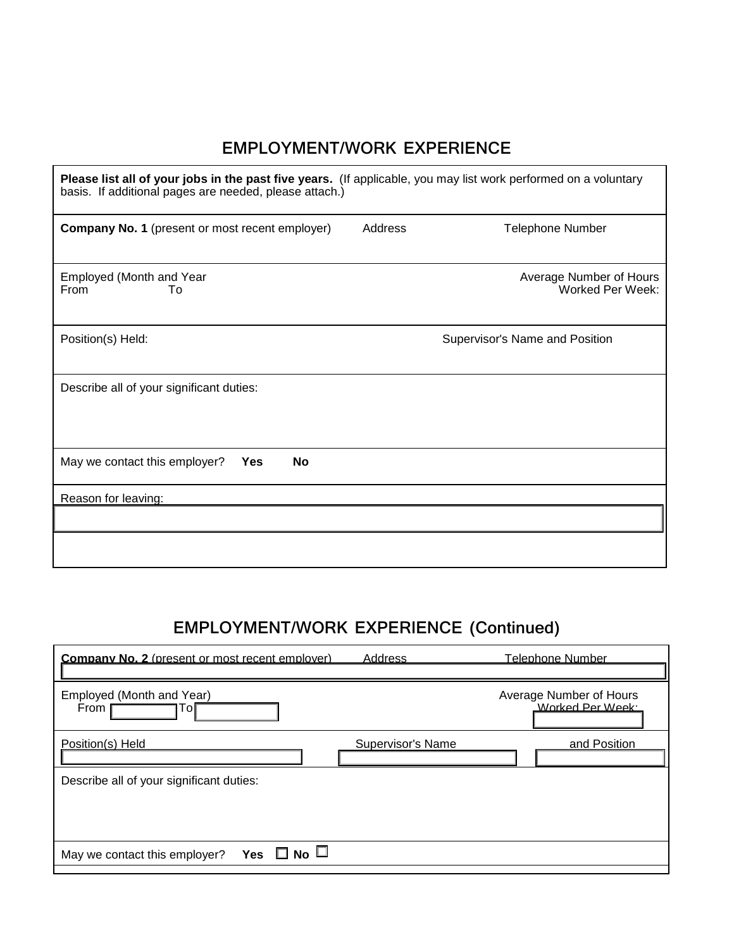## **EMPLOYMENT/WORK EXPERIENCE**

| Please list all of your jobs in the past five years. (If applicable, you may list work performed on a voluntary<br>basis. If additional pages are needed, please attach.) |                                             |  |  |  |  |
|---------------------------------------------------------------------------------------------------------------------------------------------------------------------------|---------------------------------------------|--|--|--|--|
| Address<br><b>Company No. 1</b> (present or most recent employer)                                                                                                         | Telephone Number                            |  |  |  |  |
| Employed (Month and Year<br>From<br>Τo                                                                                                                                    | Average Number of Hours<br>Worked Per Week: |  |  |  |  |
| Position(s) Held:                                                                                                                                                         | Supervisor's Name and Position              |  |  |  |  |
| Describe all of your significant duties:                                                                                                                                  |                                             |  |  |  |  |
| May we contact this employer?<br><b>No</b><br><b>Yes</b>                                                                                                                  |                                             |  |  |  |  |
| Reason for leaving:                                                                                                                                                       |                                             |  |  |  |  |
|                                                                                                                                                                           |                                             |  |  |  |  |

# **EMPLOYMENT/WORK EXPERIENCE (Continued)**

| <b>Company No. 2</b> (present or most recent employer) | Address           | Telephone Number                            |
|--------------------------------------------------------|-------------------|---------------------------------------------|
| Employed (Month and Year)<br>From<br>10                |                   | Average Number of Hours<br>Worked Per Week: |
| Position(s) Held                                       | Supervisor's Name | and Position                                |
| Describe all of your significant duties:               |                   |                                             |
|                                                        |                   |                                             |
| Yes $\Box$ No $\Box$<br>May we contact this employer?  |                   |                                             |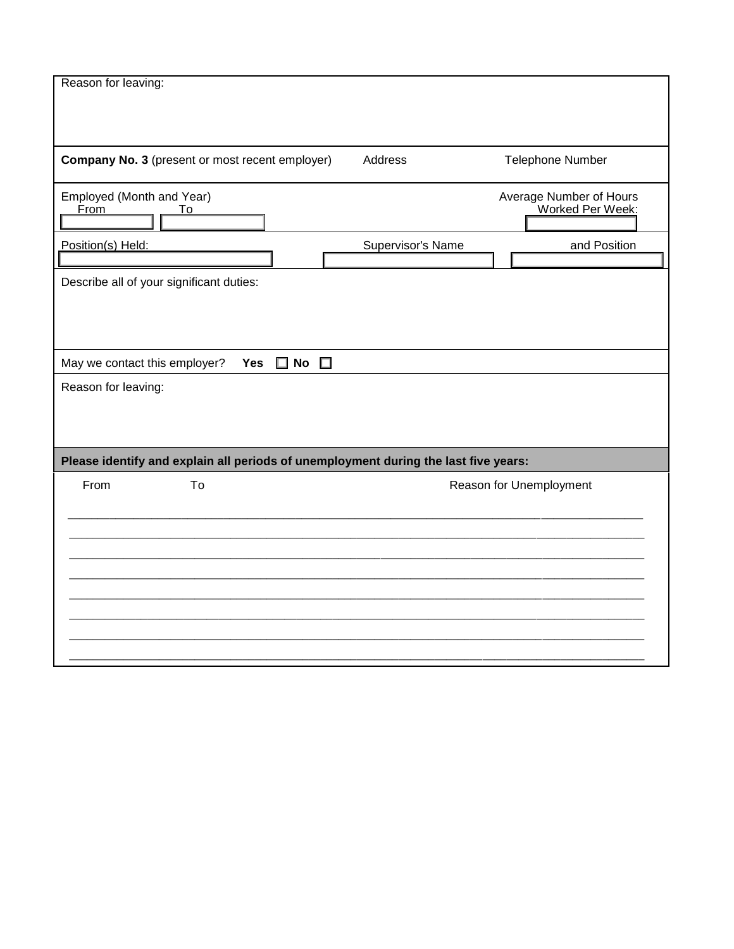| Reason for leaving:                                                                 |                                             |
|-------------------------------------------------------------------------------------|---------------------------------------------|
|                                                                                     |                                             |
|                                                                                     |                                             |
|                                                                                     |                                             |
|                                                                                     |                                             |
| Company No. 3 (present or most recent employer)                                     | Address<br><b>Telephone Number</b>          |
|                                                                                     |                                             |
|                                                                                     |                                             |
| Employed (Month and Year)<br><b>From</b><br>To                                      | Average Number of Hours<br>Worked Per Week: |
|                                                                                     |                                             |
|                                                                                     |                                             |
| Position(s) Held:                                                                   | Supervisor's Name<br>and Position           |
|                                                                                     |                                             |
| Describe all of your significant duties:                                            |                                             |
|                                                                                     |                                             |
|                                                                                     |                                             |
|                                                                                     |                                             |
|                                                                                     |                                             |
| $\square$ No $\square$<br>May we contact this employer?<br><b>Yes</b>               |                                             |
| Reason for leaving:                                                                 |                                             |
|                                                                                     |                                             |
|                                                                                     |                                             |
|                                                                                     |                                             |
|                                                                                     |                                             |
| Please identify and explain all periods of unemployment during the last five years: |                                             |
| From<br>To                                                                          | Reason for Unemployment                     |
|                                                                                     |                                             |
|                                                                                     |                                             |
|                                                                                     |                                             |
|                                                                                     |                                             |
|                                                                                     |                                             |
|                                                                                     |                                             |
|                                                                                     |                                             |
|                                                                                     |                                             |
|                                                                                     |                                             |
|                                                                                     |                                             |
|                                                                                     |                                             |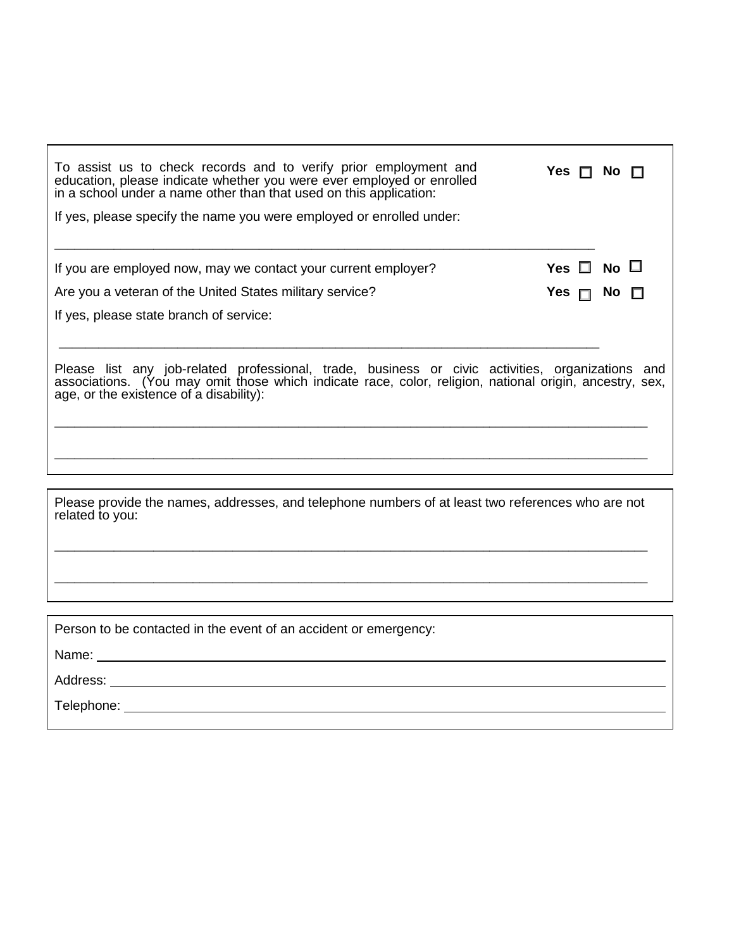| To assist us to check records and to verify prior employment and<br>education, please indicate whether you were ever employed or enrolled<br>in a school under a name other than that used on this application:<br>If yes, please specify the name you were employed or enrolled under: | Yes ⊓<br>NO.         |
|-----------------------------------------------------------------------------------------------------------------------------------------------------------------------------------------------------------------------------------------------------------------------------------------|----------------------|
| If you are employed now, may we contact your current employer?                                                                                                                                                                                                                          | Yes $\Box$ No $\Box$ |
| Are you a veteran of the United States military service?<br>If yes, please state branch of service:                                                                                                                                                                                     | Yes $\Box$ No        |
| Please list any job-related professional, trade, business or civic activities, organizations and<br>associations. (You may omit those which indicate race, color, religion, national origin, ancestry, sex,<br>age, or the existence of a disability):                                  |                      |
|                                                                                                                                                                                                                                                                                         |                      |
| Please provide the names, addresses, and telephone numbers of at least two references who are not<br>related to you:                                                                                                                                                                    |                      |
|                                                                                                                                                                                                                                                                                         |                      |

Person to be contacted in the event of an accident or emergency:

Name:

Address:

Telephone: